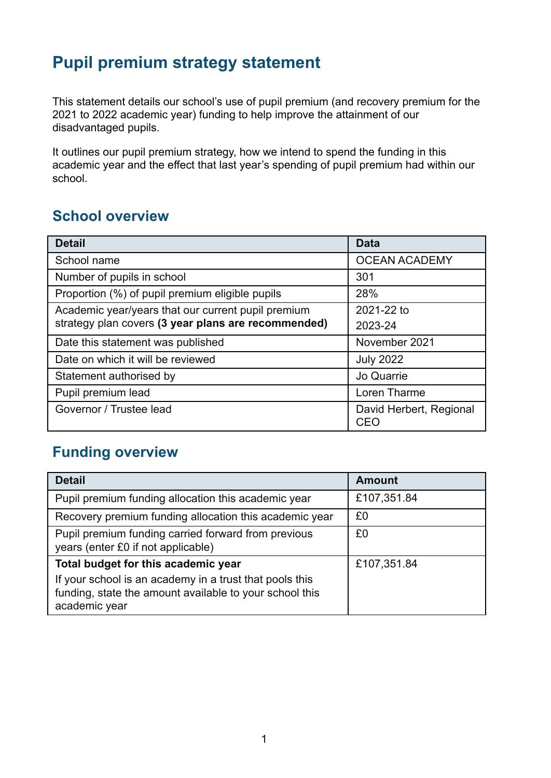# **Pupil premium strategy statement**

This statement details our school's use of pupil premium (and recovery premium for the 2021 to 2022 academic year) funding to help improve the attainment of our disadvantaged pupils.

It outlines our pupil premium strategy, how we intend to spend the funding in this academic year and the effect that last year's spending of pupil premium had within our school.

## **School overview**

| <b>Detail</b>                                       | <b>Data</b>                    |
|-----------------------------------------------------|--------------------------------|
| School name                                         | <b>OCEAN ACADEMY</b>           |
| Number of pupils in school                          | 301                            |
| Proportion (%) of pupil premium eligible pupils     | 28%                            |
| Academic year/years that our current pupil premium  | 2021-22 to                     |
| strategy plan covers (3 year plans are recommended) | 2023-24                        |
| Date this statement was published                   | November 2021                  |
| Date on which it will be reviewed                   | <b>July 2022</b>               |
| Statement authorised by                             | Jo Quarrie                     |
| Pupil premium lead                                  | Loren Tharme                   |
| Governor / Trustee lead                             | David Herbert, Regional<br>CEC |

### **Funding overview**

| <b>Detail</b>                                                                                                                       | <b>Amount</b> |
|-------------------------------------------------------------------------------------------------------------------------------------|---------------|
| Pupil premium funding allocation this academic year                                                                                 | £107,351.84   |
| Recovery premium funding allocation this academic year                                                                              | £0            |
| Pupil premium funding carried forward from previous<br>years (enter £0 if not applicable)                                           | £0            |
| Total budget for this academic year                                                                                                 | £107,351.84   |
| If your school is an academy in a trust that pools this<br>funding, state the amount available to your school this<br>academic year |               |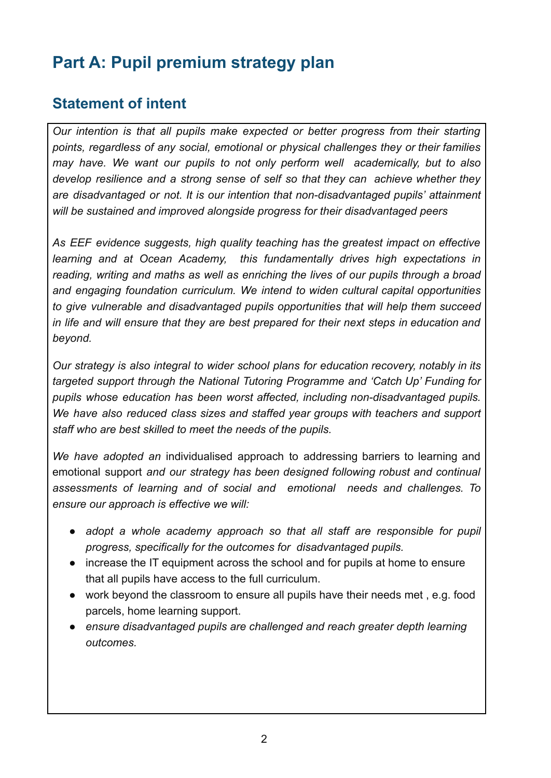# **Part A: Pupil premium strategy plan**

#### **Statement of intent**

*Our intention is that all pupils make expected or better progress from their starting points, regardless of any social, emotional or physical challenges they or their families may have. We want our pupils to not only perform well academically, but to also develop resilience and a strong sense of self so that they can achieve whether they are disadvantaged or not. It is our intention that non-disadvantaged pupils' attainment will be sustained and improved alongside progress for their disadvantaged peers*

*As EEF evidence suggests, high quality teaching has the greatest impact on effective learning and at Ocean Academy, this fundamentally drives high expectations in reading, writing and maths as well as enriching the lives of our pupils through a broad and engaging foundation curriculum. We intend to widen cultural capital opportunities to give vulnerable and disadvantaged pupils opportunities that will help them succeed in life and will ensure that they are best prepared for their next steps in education and beyond.*

*Our strategy is also integral to wider school plans for education recovery, notably in its targeted support through the National Tutoring Programme and 'Catch Up' Funding for pupils whose education has been worst affected, including non-disadvantaged pupils. We have also reduced class sizes and staffed year groups with teachers and support staff who are best skilled to meet the needs of the pupils.*

*We have adopted an* individualised approach to addressing barriers to learning and emotional support *and our strategy has been designed following robust and continual assessments of learning and of social and emotional needs and challenges. To ensure our approach is effective we will:*

- *● adopt a whole academy approach so that all staff are responsible for pupil progress, specifically for the outcomes for disadvantaged pupils.*
- increase the IT equipment across the school and for pupils at home to ensure that all pupils have access to the full curriculum.
- work beyond the classroom to ensure all pupils have their needs met , e.g. food parcels, home learning support.
- *● ensure disadvantaged pupils are challenged and reach greater depth learning outcomes.*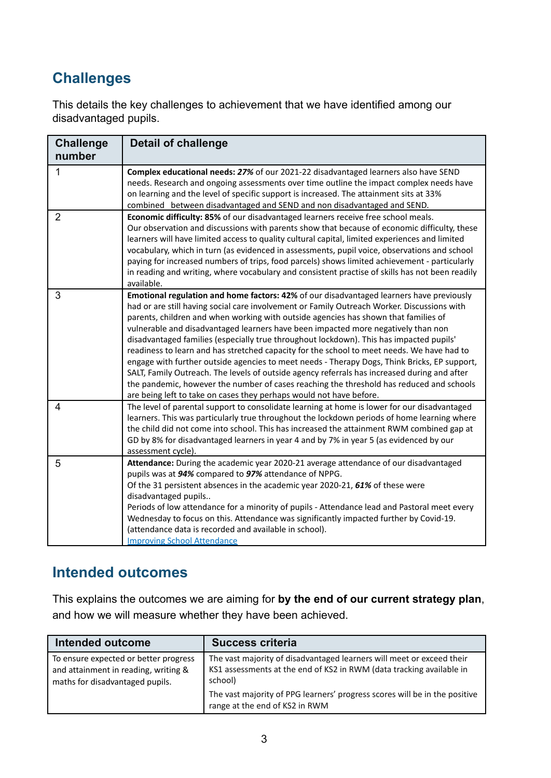# **Challenges**

This details the key challenges to achievement that we have identified among our disadvantaged pupils.

| <b>Challenge</b><br>number | <b>Detail of challenge</b>                                                                                                                                                                                                                                                                                                                                                                                                                                                                                                                                                                                                                                                                                                                                                                                                                                                                                                      |
|----------------------------|---------------------------------------------------------------------------------------------------------------------------------------------------------------------------------------------------------------------------------------------------------------------------------------------------------------------------------------------------------------------------------------------------------------------------------------------------------------------------------------------------------------------------------------------------------------------------------------------------------------------------------------------------------------------------------------------------------------------------------------------------------------------------------------------------------------------------------------------------------------------------------------------------------------------------------|
| 1                          | Complex educational needs: 27% of our 2021-22 disadvantaged learners also have SEND<br>needs. Research and ongoing assessments over time outline the impact complex needs have<br>on learning and the level of specific support is increased. The attainment sits at 33%<br>combined between disadvantaged and SEND and non disadvantaged and SEND.                                                                                                                                                                                                                                                                                                                                                                                                                                                                                                                                                                             |
| $\overline{2}$             | Economic difficulty: 85% of our disadvantaged learners receive free school meals.<br>Our observation and discussions with parents show that because of economic difficulty, these<br>learners will have limited access to quality cultural capital, limited experiences and limited<br>vocabulary, which in turn (as evidenced in assessments, pupil voice, observations and school<br>paying for increased numbers of trips, food parcels) shows limited achievement - particularly<br>in reading and writing, where vocabulary and consistent practise of skills has not been readily<br>available.                                                                                                                                                                                                                                                                                                                           |
| 3                          | Emotional regulation and home factors: 42% of our disadvantaged learners have previously<br>had or are still having social care involvement or Family Outreach Worker. Discussions with<br>parents, children and when working with outside agencies has shown that families of<br>vulnerable and disadvantaged learners have been impacted more negatively than non<br>disadvantaged families (especially true throughout lockdown). This has impacted pupils'<br>readiness to learn and has stretched capacity for the school to meet needs. We have had to<br>engage with further outside agencies to meet needs - Therapy Dogs, Think Bricks, EP support,<br>SALT, Family Outreach. The levels of outside agency referrals has increased during and after<br>the pandemic, however the number of cases reaching the threshold has reduced and schools<br>are being left to take on cases they perhaps would not have before. |
| 4                          | The level of parental support to consolidate learning at home is lower for our disadvantaged<br>learners. This was particularly true throughout the lockdown periods of home learning where<br>the child did not come into school. This has increased the attainment RWM combined gap at<br>GD by 8% for disadvantaged learners in year 4 and by 7% in year 5 (as evidenced by our<br>assessment cycle).                                                                                                                                                                                                                                                                                                                                                                                                                                                                                                                        |
| 5                          | Attendance: During the academic year 2020-21 average attendance of our disadvantaged<br>pupils was at 94% compared to 97% attendance of NPPG.<br>Of the 31 persistent absences in the academic year 2020-21, 61% of these were<br>disadvantaged pupils<br>Periods of low attendance for a minority of pupils - Attendance lead and Pastoral meet every<br>Wednesday to focus on this. Attendance was significantly impacted further by Covid-19.<br>(attendance data is recorded and available in school).<br><b>Improving School Attendance</b>                                                                                                                                                                                                                                                                                                                                                                                |

## **Intended outcomes**

This explains the outcomes we are aiming for **by the end of our current strategy plan**, and how we will measure whether they have been achieved.

| Intended outcome                                                                                                 | <b>Success criteria</b>                                                                                                                                  |
|------------------------------------------------------------------------------------------------------------------|----------------------------------------------------------------------------------------------------------------------------------------------------------|
| To ensure expected or better progress<br>and attainment in reading, writing &<br>maths for disadvantaged pupils. | The vast majority of disadvantaged learners will meet or exceed their<br>KS1 assessments at the end of KS2 in RWM (data tracking available in<br>school) |
|                                                                                                                  | The vast majority of PPG learners' progress scores will be in the positive<br>range at the end of KS2 in RWM                                             |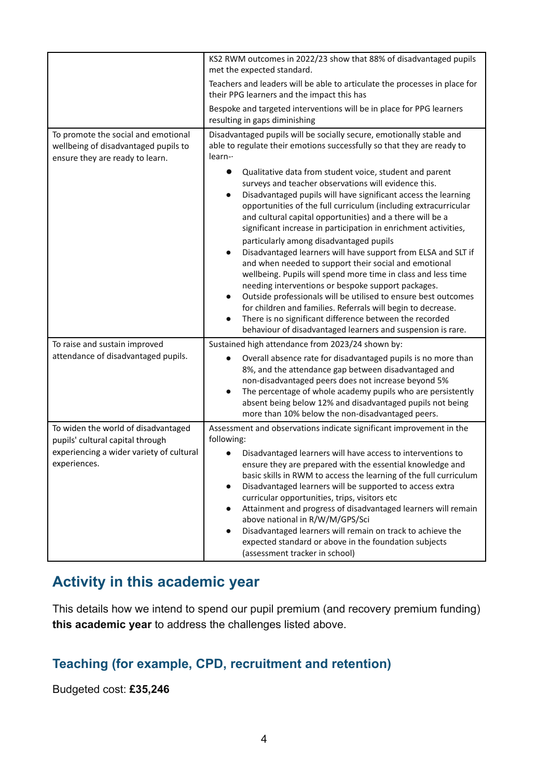|                                                                                                                | KS2 RWM outcomes in 2022/23 show that 88% of disadvantaged pupils<br>met the expected standard.                                                                                                                                                                                                                                                                                                                                                                                                                                                                                                                                                                                                                                                                                                                                                                                                                                                                                                                                                                                                            |
|----------------------------------------------------------------------------------------------------------------|------------------------------------------------------------------------------------------------------------------------------------------------------------------------------------------------------------------------------------------------------------------------------------------------------------------------------------------------------------------------------------------------------------------------------------------------------------------------------------------------------------------------------------------------------------------------------------------------------------------------------------------------------------------------------------------------------------------------------------------------------------------------------------------------------------------------------------------------------------------------------------------------------------------------------------------------------------------------------------------------------------------------------------------------------------------------------------------------------------|
|                                                                                                                | Teachers and leaders will be able to articulate the processes in place for<br>their PPG learners and the impact this has                                                                                                                                                                                                                                                                                                                                                                                                                                                                                                                                                                                                                                                                                                                                                                                                                                                                                                                                                                                   |
|                                                                                                                | Bespoke and targeted interventions will be in place for PPG learners<br>resulting in gaps diminishing                                                                                                                                                                                                                                                                                                                                                                                                                                                                                                                                                                                                                                                                                                                                                                                                                                                                                                                                                                                                      |
| To promote the social and emotional<br>wellbeing of disadvantaged pupils to<br>ensure they are ready to learn. | Disadvantaged pupils will be socially secure, emotionally stable and<br>able to regulate their emotions successfully so that they are ready to<br>$learn-$<br>Qualitative data from student voice, student and parent<br>surveys and teacher observations will evidence this.<br>Disadvantaged pupils will have significant access the learning<br>opportunities of the full curriculum (including extracurricular<br>and cultural capital opportunities) and a there will be a<br>significant increase in participation in enrichment activities,<br>particularly among disadvantaged pupils<br>Disadvantaged learners will have support from ELSA and SLT if<br>and when needed to support their social and emotional<br>wellbeing. Pupils will spend more time in class and less time<br>needing interventions or bespoke support packages.<br>Outside professionals will be utilised to ensure best outcomes<br>for children and families. Referrals will begin to decrease.<br>There is no significant difference between the recorded<br>behaviour of disadvantaged learners and suspension is rare. |
| To raise and sustain improved                                                                                  | Sustained high attendance from 2023/24 shown by:                                                                                                                                                                                                                                                                                                                                                                                                                                                                                                                                                                                                                                                                                                                                                                                                                                                                                                                                                                                                                                                           |
| attendance of disadvantaged pupils.                                                                            | Overall absence rate for disadvantaged pupils is no more than<br>8%, and the attendance gap between disadvantaged and<br>non-disadvantaged peers does not increase beyond 5%<br>The percentage of whole academy pupils who are persistently<br>absent being below 12% and disadvantaged pupils not being<br>more than 10% below the non-disadvantaged peers.                                                                                                                                                                                                                                                                                                                                                                                                                                                                                                                                                                                                                                                                                                                                               |
| To widen the world of disadvantaged                                                                            | Assessment and observations indicate significant improvement in the                                                                                                                                                                                                                                                                                                                                                                                                                                                                                                                                                                                                                                                                                                                                                                                                                                                                                                                                                                                                                                        |
| pupils' cultural capital through<br>experiencing a wider variety of cultural<br>experiences.                   | following:<br>Disadvantaged learners will have access to interventions to<br>ensure they are prepared with the essential knowledge and<br>basic skills in RWM to access the learning of the full curriculum<br>Disadvantaged learners will be supported to access extra<br>$\bullet$<br>curricular opportunities, trips, visitors etc<br>Attainment and progress of disadvantaged learners will remain<br>above national in R/W/M/GPS/Sci<br>Disadvantaged learners will remain on track to achieve the<br>expected standard or above in the foundation subjects<br>(assessment tracker in school)                                                                                                                                                                                                                                                                                                                                                                                                                                                                                                         |

#### **Activity in this academic year**

This details how we intend to spend our pupil premium (and recovery premium funding) **this academic year** to address the challenges listed above.

#### **Teaching (for example, CPD, recruitment and retention)**

Budgeted cost: **£35,246**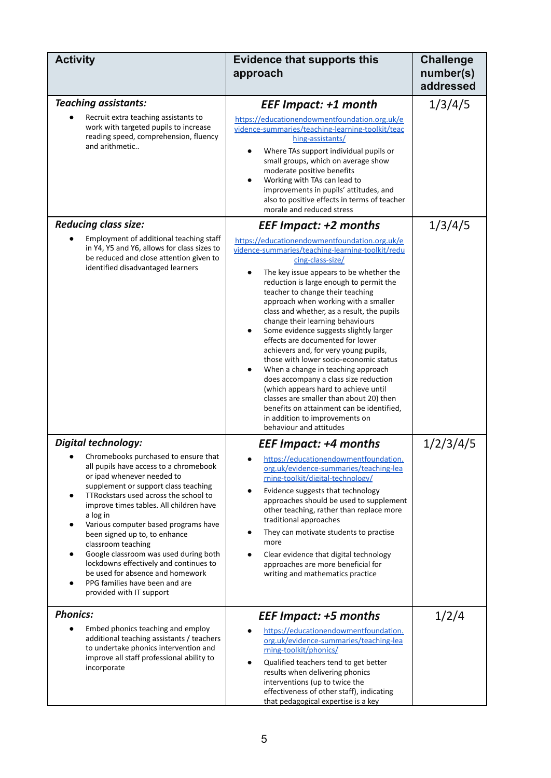| <b>Activity</b>                                                                                                                                                                                                                                                                                                                                                                                                                                                                                                                                                             | <b>Evidence that supports this</b><br>approach                                                                                                                                                                                                                                                                                                                                                                                                                                                                                                                                                                                                                                                                                                                                                                                                                      | <b>Challenge</b><br>number(s)<br>addressed |
|-----------------------------------------------------------------------------------------------------------------------------------------------------------------------------------------------------------------------------------------------------------------------------------------------------------------------------------------------------------------------------------------------------------------------------------------------------------------------------------------------------------------------------------------------------------------------------|---------------------------------------------------------------------------------------------------------------------------------------------------------------------------------------------------------------------------------------------------------------------------------------------------------------------------------------------------------------------------------------------------------------------------------------------------------------------------------------------------------------------------------------------------------------------------------------------------------------------------------------------------------------------------------------------------------------------------------------------------------------------------------------------------------------------------------------------------------------------|--------------------------------------------|
| <b>Teaching assistants:</b><br>Recruit extra teaching assistants to<br>work with targeted pupils to increase<br>reading speed, comprehension, fluency<br>and arithmetic                                                                                                                                                                                                                                                                                                                                                                                                     | <b>EEF Impact: +1 month</b><br>https://educationendowmentfoundation.org.uk/e<br>vidence-summaries/teaching-learning-toolkit/teac<br>hing-assistants/<br>Where TAs support individual pupils or<br>small groups, which on average show<br>moderate positive benefits<br>Working with TAs can lead to<br>improvements in pupils' attitudes, and<br>also to positive effects in terms of teacher<br>morale and reduced stress                                                                                                                                                                                                                                                                                                                                                                                                                                          | 1/3/4/5                                    |
| <b>Reducing class size:</b><br>Employment of additional teaching staff<br>in Y4, Y5 and Y6, allows for class sizes to<br>be reduced and close attention given to<br>identified disadvantaged learners                                                                                                                                                                                                                                                                                                                                                                       | <b>EEF Impact: +2 months</b><br>https://educationendowmentfoundation.org.uk/e<br>vidence-summaries/teaching-learning-toolkit/redu<br>cing-class-size/<br>The key issue appears to be whether the<br>reduction is large enough to permit the<br>teacher to change their teaching<br>approach when working with a smaller<br>class and whether, as a result, the pupils<br>change their learning behaviours<br>Some evidence suggests slightly larger<br>$\bullet$<br>effects are documented for lower<br>achievers and, for very young pupils,<br>those with lower socio-economic status<br>When a change in teaching approach<br>does accompany a class size reduction<br>(which appears hard to achieve until<br>classes are smaller than about 20) then<br>benefits on attainment can be identified,<br>in addition to improvements on<br>behaviour and attitudes | 1/3/4/5                                    |
| <b>Digital technology:</b><br>Chromebooks purchased to ensure that<br>all pupils have access to a chromebook<br>or ipad whenever needed to<br>supplement or support class teaching<br>TTRockstars used across the school to<br>٠<br>improve times tables. All children have<br>a log in<br>Various computer based programs have<br>been signed up to, to enhance<br>classroom teaching<br>Google classroom was used during both<br>lockdowns effectively and continues to<br>be used for absence and homework<br>PPG families have been and are<br>provided with IT support | <b>EEF Impact: +4 months</b><br>https://educationendowmentfoundation.<br>org.uk/evidence-summaries/teaching-lea<br>rning-toolkit/digital-technology/<br>Evidence suggests that technology<br>approaches should be used to supplement<br>other teaching, rather than replace more<br>traditional approaches<br>They can motivate students to practise<br>more<br>Clear evidence that digital technology<br>approaches are more beneficial for<br>writing and mathematics practice                                                                                                                                                                                                                                                                                                                                                                                    | 1/2/3/4/5                                  |
| <b>Phonics:</b><br>Embed phonics teaching and employ<br>additional teaching assistants / teachers<br>to undertake phonics intervention and<br>improve all staff professional ability to<br>incorporate                                                                                                                                                                                                                                                                                                                                                                      | <b>EEF Impact: +5 months</b><br>https://educationendowmentfoundation.<br>org.uk/evidence-summaries/teaching-lea<br>rning-toolkit/phonics/<br>Qualified teachers tend to get better<br>results when delivering phonics<br>interventions (up to twice the<br>effectiveness of other staff), indicating<br>that pedagogical expertise is a key                                                                                                                                                                                                                                                                                                                                                                                                                                                                                                                         | 1/2/4                                      |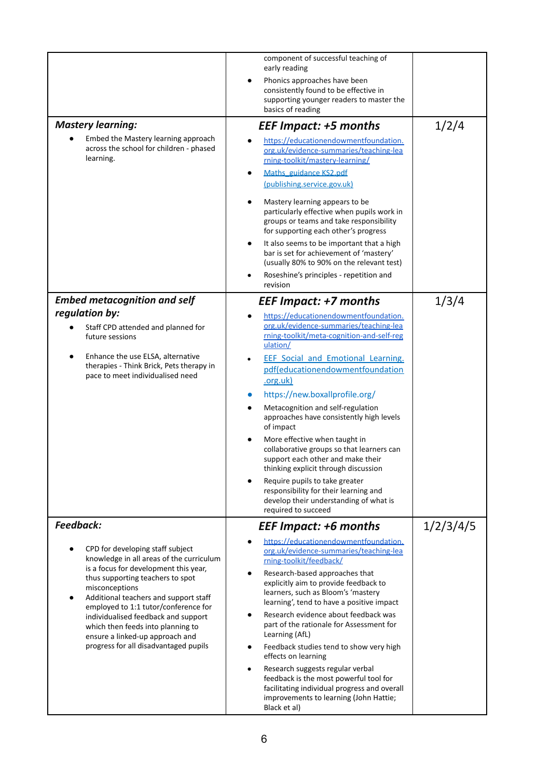|                                                                                                                                                                                                                                                                                                                                                                                                                      | component of successful teaching of<br>early reading<br>Phonics approaches have been<br>consistently found to be effective in<br>supporting younger readers to master the<br>basics of reading                                                                                                                                                                                                                                                                                                                                                                                                                                                                                            |           |
|----------------------------------------------------------------------------------------------------------------------------------------------------------------------------------------------------------------------------------------------------------------------------------------------------------------------------------------------------------------------------------------------------------------------|-------------------------------------------------------------------------------------------------------------------------------------------------------------------------------------------------------------------------------------------------------------------------------------------------------------------------------------------------------------------------------------------------------------------------------------------------------------------------------------------------------------------------------------------------------------------------------------------------------------------------------------------------------------------------------------------|-----------|
| <b>Mastery learning:</b>                                                                                                                                                                                                                                                                                                                                                                                             | <b>EEF Impact: +5 months</b>                                                                                                                                                                                                                                                                                                                                                                                                                                                                                                                                                                                                                                                              | 1/2/4     |
| Embed the Mastery learning approach<br>across the school for children - phased<br>learning.                                                                                                                                                                                                                                                                                                                          | https://educationendowmentfoundation.<br>org.uk/evidence-summaries/teaching-lea<br>rning-toolkit/mastery-learning/<br>Maths guidance KS2.pdf<br>(publishing.service.gov.uk)<br>Mastery learning appears to be<br>particularly effective when pupils work in<br>groups or teams and take responsibility                                                                                                                                                                                                                                                                                                                                                                                    |           |
|                                                                                                                                                                                                                                                                                                                                                                                                                      | for supporting each other's progress<br>It also seems to be important that a high<br>bar is set for achievement of 'mastery'<br>(usually 80% to 90% on the relevant test)<br>Roseshine's principles - repetition and<br>revision                                                                                                                                                                                                                                                                                                                                                                                                                                                          |           |
| <b>Embed metacognition and self</b>                                                                                                                                                                                                                                                                                                                                                                                  | <b>EEF Impact: +7 months</b>                                                                                                                                                                                                                                                                                                                                                                                                                                                                                                                                                                                                                                                              | 1/3/4     |
| regulation by:<br>Staff CPD attended and planned for<br>future sessions<br>Enhance the use ELSA, alternative<br>therapies - Think Brick, Pets therapy in<br>pace to meet individualised need                                                                                                                                                                                                                         | https://educationendowmentfoundation.<br>org.uk/evidence-summaries/teaching-lea<br>rning-toolkit/meta-cognition-and-self-reg<br>ulation/<br><b>EEF Social and Emotional Learning.</b><br>pdf(educationendowmentfoundation<br>.org.uk)<br>https://new.boxallprofile.org/<br>Metacognition and self-regulation<br>approaches have consistently high levels<br>of impact<br>More effective when taught in<br>$\bullet$<br>collaborative groups so that learners can<br>support each other and make their<br>thinking explicit through discussion<br>Require pupils to take greater<br>responsibility for their learning and<br>develop their understanding of what is<br>required to succeed |           |
| <b>Feedback:</b>                                                                                                                                                                                                                                                                                                                                                                                                     | <b>EEF Impact: +6 months</b>                                                                                                                                                                                                                                                                                                                                                                                                                                                                                                                                                                                                                                                              | 1/2/3/4/5 |
| CPD for developing staff subject<br>knowledge in all areas of the curriculum<br>is a focus for development this year,<br>thus supporting teachers to spot<br>misconceptions<br>Additional teachers and support staff<br>employed to 1:1 tutor/conference for<br>individualised feedback and support<br>which then feeds into planning to<br>ensure a linked-up approach and<br>progress for all disadvantaged pupils | https://educationendowmentfoundation.<br>org.uk/evidence-summaries/teaching-lea<br>rning-toolkit/feedback/<br>Research-based approaches that<br>explicitly aim to provide feedback to<br>learners, such as Bloom's 'mastery<br>learning', tend to have a positive impact<br>Research evidence about feedback was<br>part of the rationale for Assessment for<br>Learning (AfL)<br>Feedback studies tend to show very high<br>effects on learning<br>Research suggests regular verbal<br>feedback is the most powerful tool for<br>facilitating individual progress and overall<br>improvements to learning (John Hattie;<br>Black et al)                                                  |           |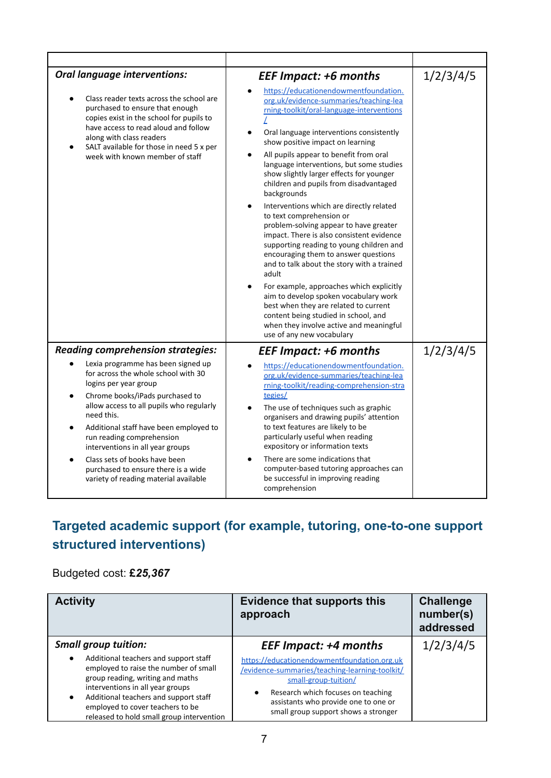| <b>Oral language interventions:</b><br>Class reader texts across the school are<br>purchased to ensure that enough<br>copies exist in the school for pupils to<br>have access to read aloud and follow<br>along with class readers<br>SALT available for those in need 5 x per<br>week with known member of staff                                                                                                           | <b>EEF Impact: +6 months</b><br>https://educationendowmentfoundation.<br>org.uk/evidence-summaries/teaching-lea<br>rning-toolkit/oral-language-interventions<br>Oral language interventions consistently<br>$\bullet$<br>show positive impact on learning<br>All pupils appear to benefit from oral<br>$\bullet$<br>language interventions, but some studies<br>show slightly larger effects for younger<br>children and pupils from disadvantaged<br>backgrounds<br>Interventions which are directly related<br>to text comprehension or<br>problem-solving appear to have greater<br>impact. There is also consistent evidence<br>supporting reading to young children and<br>encouraging them to answer questions<br>and to talk about the story with a trained<br>adult<br>For example, approaches which explicitly<br>$\bullet$<br>aim to develop spoken vocabulary work<br>best when they are related to current<br>content being studied in school, and<br>when they involve active and meaningful<br>use of any new vocabulary | 1/2/3/4/5 |
|-----------------------------------------------------------------------------------------------------------------------------------------------------------------------------------------------------------------------------------------------------------------------------------------------------------------------------------------------------------------------------------------------------------------------------|----------------------------------------------------------------------------------------------------------------------------------------------------------------------------------------------------------------------------------------------------------------------------------------------------------------------------------------------------------------------------------------------------------------------------------------------------------------------------------------------------------------------------------------------------------------------------------------------------------------------------------------------------------------------------------------------------------------------------------------------------------------------------------------------------------------------------------------------------------------------------------------------------------------------------------------------------------------------------------------------------------------------------------------|-----------|
| <b>Reading comprehension strategies:</b>                                                                                                                                                                                                                                                                                                                                                                                    | <b>EEF Impact: +6 months</b>                                                                                                                                                                                                                                                                                                                                                                                                                                                                                                                                                                                                                                                                                                                                                                                                                                                                                                                                                                                                           | 1/2/3/4/5 |
| Lexia programme has been signed up<br>for across the whole school with 30<br>logins per year group<br>Chrome books/iPads purchased to<br>allow access to all pupils who regularly<br>need this.<br>Additional staff have been employed to<br>run reading comprehension<br>interventions in all year groups<br>Class sets of books have been<br>purchased to ensure there is a wide<br>variety of reading material available | https://educationendowmentfoundation.<br>org.uk/evidence-summaries/teaching-lea<br>rning-toolkit/reading-comprehension-stra<br>tegies/<br>The use of techniques such as graphic<br>organisers and drawing pupils' attention<br>to text features are likely to be<br>particularly useful when reading<br>expository or information texts<br>There are some indications that<br>computer-based tutoring approaches can<br>be successful in improving reading<br>comprehension                                                                                                                                                                                                                                                                                                                                                                                                                                                                                                                                                            |           |

# **Targeted academic support (for example, tutoring, one-to-one support structured interventions)**

#### Budgeted cost: **£***25,367*

| <b>Activity</b>                                                                                                                                                                                                                                                                                            | <b>Evidence that supports this</b><br>approach                                                                                                                                                                                                           | <b>Challenge</b><br>number(s)<br>addressed |
|------------------------------------------------------------------------------------------------------------------------------------------------------------------------------------------------------------------------------------------------------------------------------------------------------------|----------------------------------------------------------------------------------------------------------------------------------------------------------------------------------------------------------------------------------------------------------|--------------------------------------------|
| <b>Small group tuition:</b>                                                                                                                                                                                                                                                                                | <b>EEF Impact: +4 months</b>                                                                                                                                                                                                                             | 1/2/3/4/5                                  |
| Additional teachers and support staff<br>$\bullet$<br>employed to raise the number of small<br>group reading, writing and maths<br>interventions in all year groups<br>Additional teachers and support staff<br>$\bullet$<br>employed to cover teachers to be<br>released to hold small group intervention | https://educationendowmentfoundation.org.uk<br>/evidence-summaries/teaching-learning-toolkit/<br>small-group-tuition/<br>Research which focuses on teaching<br>$\bullet$<br>assistants who provide one to one or<br>small group support shows a stronger |                                            |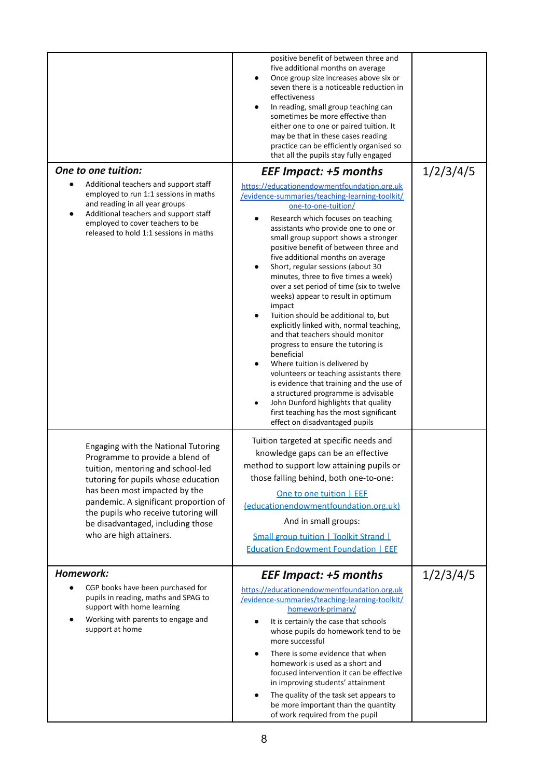|                                                                    |                                                                                                                                                                                                                                                                                                           | positive benefit of between three and<br>five additional months on average<br>Once group size increases above six or<br>$\bullet$<br>seven there is a noticeable reduction in<br>effectiveness<br>In reading, small group teaching can<br>$\bullet$<br>sometimes be more effective than<br>either one to one or paired tuition. It<br>may be that in these cases reading<br>practice can be efficiently organised so<br>that all the pupils stay fully engaged                                                                                                                                                                                                                                                                                                                                                                                                                                                                                                                                                        |           |
|--------------------------------------------------------------------|-----------------------------------------------------------------------------------------------------------------------------------------------------------------------------------------------------------------------------------------------------------------------------------------------------------|-----------------------------------------------------------------------------------------------------------------------------------------------------------------------------------------------------------------------------------------------------------------------------------------------------------------------------------------------------------------------------------------------------------------------------------------------------------------------------------------------------------------------------------------------------------------------------------------------------------------------------------------------------------------------------------------------------------------------------------------------------------------------------------------------------------------------------------------------------------------------------------------------------------------------------------------------------------------------------------------------------------------------|-----------|
| One to one tuition:                                                |                                                                                                                                                                                                                                                                                                           | <b>EEF Impact: +5 months</b>                                                                                                                                                                                                                                                                                                                                                                                                                                                                                                                                                                                                                                                                                                                                                                                                                                                                                                                                                                                          | 1/2/3/4/5 |
| and reading in all year groups<br>employed to cover teachers to be | Additional teachers and support staff<br>employed to run 1:1 sessions in maths<br>Additional teachers and support staff<br>released to hold 1:1 sessions in maths                                                                                                                                         | https://educationendowmentfoundation.org.uk<br>/evidence-summaries/teaching-learning-toolkit/<br>one-to-one-tuition/<br>Research which focuses on teaching<br>$\bullet$<br>assistants who provide one to one or<br>small group support shows a stronger<br>positive benefit of between three and<br>five additional months on average<br>Short, regular sessions (about 30<br>$\bullet$<br>minutes, three to five times a week)<br>over a set period of time (six to twelve<br>weeks) appear to result in optimum<br>impact<br>Tuition should be additional to, but<br>explicitly linked with, normal teaching,<br>and that teachers should monitor<br>progress to ensure the tutoring is<br>beneficial<br>Where tuition is delivered by<br>$\bullet$<br>volunteers or teaching assistants there<br>is evidence that training and the use of<br>a structured programme is advisable<br>John Dunford highlights that quality<br>$\bullet$<br>first teaching has the most significant<br>effect on disadvantaged pupils |           |
| who are high attainers.                                            | Engaging with the National Tutoring<br>Programme to provide a blend of<br>tuition, mentoring and school-led<br>tutoring for pupils whose education<br>has been most impacted by the<br>pandemic. A significant proportion of<br>the pupils who receive tutoring will<br>be disadvantaged, including those | Tuition targeted at specific needs and<br>knowledge gaps can be an effective<br>method to support low attaining pupils or<br>those falling behind, both one-to-one:<br>One to one tuition   EEF<br>(educationendowmentfoundation.org.uk)<br>And in small groups:<br>Small group tuition   Toolkit Strand  <br><b>Education Endowment Foundation   EEF</b>                                                                                                                                                                                                                                                                                                                                                                                                                                                                                                                                                                                                                                                             |           |
| Homework:                                                          |                                                                                                                                                                                                                                                                                                           | <b>EEF Impact: +5 months</b>                                                                                                                                                                                                                                                                                                                                                                                                                                                                                                                                                                                                                                                                                                                                                                                                                                                                                                                                                                                          | 1/2/3/4/5 |
| support with home learning<br>support at home                      | CGP books have been purchased for<br>pupils in reading, maths and SPAG to<br>Working with parents to engage and                                                                                                                                                                                           | https://educationendowmentfoundation.org.uk<br>/evidence-summaries/teaching-learning-toolkit/<br>homework-primary/<br>It is certainly the case that schools<br>whose pupils do homework tend to be<br>more successful<br>There is some evidence that when<br>$\bullet$<br>homework is used as a short and<br>focused intervention it can be effective<br>in improving students' attainment<br>The quality of the task set appears to<br>$\bullet$<br>be more important than the quantity<br>of work required from the pupil                                                                                                                                                                                                                                                                                                                                                                                                                                                                                           |           |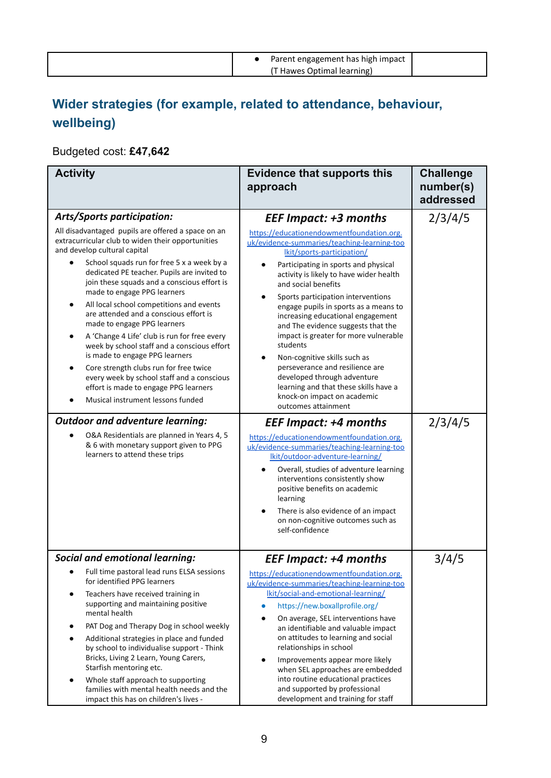| Parent engagement has high impact |  |
|-----------------------------------|--|
| (T Hawes Optimal learning)        |  |

# **Wider strategies (for example, related to attendance, behaviour, wellbeing)**

#### Budgeted cost: **£47,642**

| <b>Activity</b>                                                                                                                                                                                                                                                                                                                                                                                                                                                                                                                                                                                                                                                                                                                                | <b>Evidence that supports this</b><br>approach                                                                                                                                                                                                                                                                                                                                                                                                                                                                                                                                                                            | <b>Challenge</b><br>number(s)<br>addressed |
|------------------------------------------------------------------------------------------------------------------------------------------------------------------------------------------------------------------------------------------------------------------------------------------------------------------------------------------------------------------------------------------------------------------------------------------------------------------------------------------------------------------------------------------------------------------------------------------------------------------------------------------------------------------------------------------------------------------------------------------------|---------------------------------------------------------------------------------------------------------------------------------------------------------------------------------------------------------------------------------------------------------------------------------------------------------------------------------------------------------------------------------------------------------------------------------------------------------------------------------------------------------------------------------------------------------------------------------------------------------------------------|--------------------------------------------|
| <b>Arts/Sports participation:</b>                                                                                                                                                                                                                                                                                                                                                                                                                                                                                                                                                                                                                                                                                                              | <b>EEF Impact: +3 months</b>                                                                                                                                                                                                                                                                                                                                                                                                                                                                                                                                                                                              | 2/3/4/5                                    |
| All disadvantaged pupils are offered a space on an<br>extracurricular club to widen their opportunities<br>and develop cultural capital<br>School squads run for free 5 x a week by a<br>dedicated PE teacher. Pupils are invited to<br>join these squads and a conscious effort is<br>made to engage PPG learners<br>All local school competitions and events<br>are attended and a conscious effort is<br>made to engage PPG learners<br>A 'Change 4 Life' club is run for free every<br>week by school staff and a conscious effort<br>is made to engage PPG learners<br>Core strength clubs run for free twice<br>every week by school staff and a conscious<br>effort is made to engage PPG learners<br>Musical instrument lessons funded | https://educationendowmentfoundation.org.<br>uk/evidence-summaries/teaching-learning-too<br>lkit/sports-participation/<br>Participating in sports and physical<br>activity is likely to have wider health<br>and social benefits<br>Sports participation interventions<br>engage pupils in sports as a means to<br>increasing educational engagement<br>and The evidence suggests that the<br>impact is greater for more vulnerable<br>students<br>Non-cognitive skills such as<br>perseverance and resilience are<br>developed through adventure<br>learning and that these skills have a<br>knock-on impact on academic |                                            |
| <b>Outdoor and adventure learning:</b>                                                                                                                                                                                                                                                                                                                                                                                                                                                                                                                                                                                                                                                                                                         | outcomes attainment                                                                                                                                                                                                                                                                                                                                                                                                                                                                                                                                                                                                       |                                            |
| O&A Residentials are planned in Years 4, 5<br>& 6 with monetary support given to PPG<br>learners to attend these trips                                                                                                                                                                                                                                                                                                                                                                                                                                                                                                                                                                                                                         | <b>EEF Impact: +4 months</b><br>https://educationendowmentfoundation.org.<br>uk/evidence-summaries/teaching-learning-too<br>lkit/outdoor-adventure-learning/<br>Overall, studies of adventure learning<br>interventions consistently show<br>positive benefits on academic<br>learning<br>There is also evidence of an impact<br>on non-cognitive outcomes such as<br>self-confidence                                                                                                                                                                                                                                     | 2/3/4/5                                    |
| <b>Social and emotional learning:</b>                                                                                                                                                                                                                                                                                                                                                                                                                                                                                                                                                                                                                                                                                                          | <b>EEF Impact: +4 months</b>                                                                                                                                                                                                                                                                                                                                                                                                                                                                                                                                                                                              | 3/4/5                                      |
| Full time pastoral lead runs ELSA sessions<br>for identified PPG learners<br>Teachers have received training in<br>supporting and maintaining positive<br>mental health<br>PAT Dog and Therapy Dog in school weekly<br>Additional strategies in place and funded<br>by school to individualise support - Think<br>Bricks, Living 2 Learn, Young Carers,<br>Starfish mentoring etc.<br>Whole staff approach to supporting<br>$\bullet$<br>families with mental health needs and the<br>impact this has on children's lives -                                                                                                                                                                                                                    | https://educationendowmentfoundation.org.<br>uk/evidence-summaries/teaching-learning-too<br>lkit/social-and-emotional-learning/<br>https://new.boxallprofile.org/<br>$\bullet$<br>On average, SEL interventions have<br>an identifiable and valuable impact<br>on attitudes to learning and social<br>relationships in school<br>Improvements appear more likely<br>$\bullet$<br>when SEL approaches are embedded<br>into routine educational practices<br>and supported by professional<br>development and training for staff                                                                                            |                                            |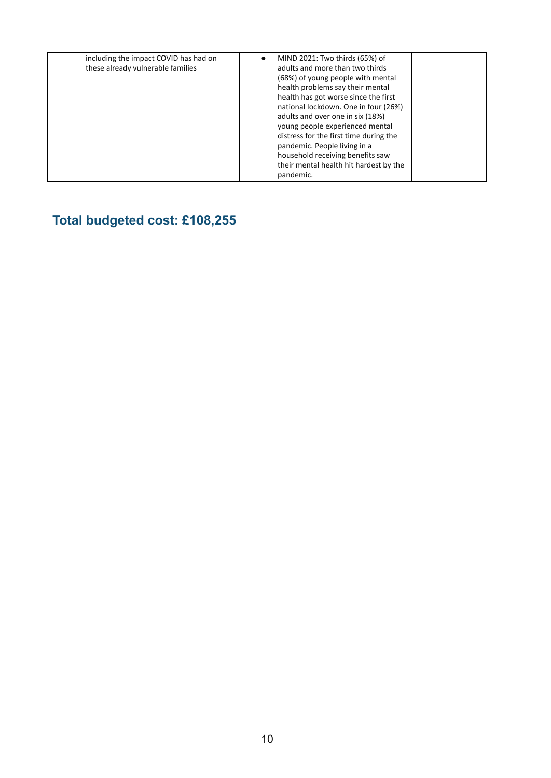|  | including the impact COVID has had on<br>these already vulnerable families | MIND 2021: Two thirds (65%) of<br>adults and more than two thirds<br>(68%) of young people with mental<br>health problems say their mental<br>health has got worse since the first<br>national lockdown. One in four (26%)<br>adults and over one in six (18%)<br>young people experienced mental<br>distress for the first time during the<br>pandemic. People living in a<br>household receiving benefits saw<br>their mental health hit hardest by the<br>pandemic. |  |
|--|----------------------------------------------------------------------------|------------------------------------------------------------------------------------------------------------------------------------------------------------------------------------------------------------------------------------------------------------------------------------------------------------------------------------------------------------------------------------------------------------------------------------------------------------------------|--|
|--|----------------------------------------------------------------------------|------------------------------------------------------------------------------------------------------------------------------------------------------------------------------------------------------------------------------------------------------------------------------------------------------------------------------------------------------------------------------------------------------------------------------------------------------------------------|--|

# **Total budgeted cost: £108,255**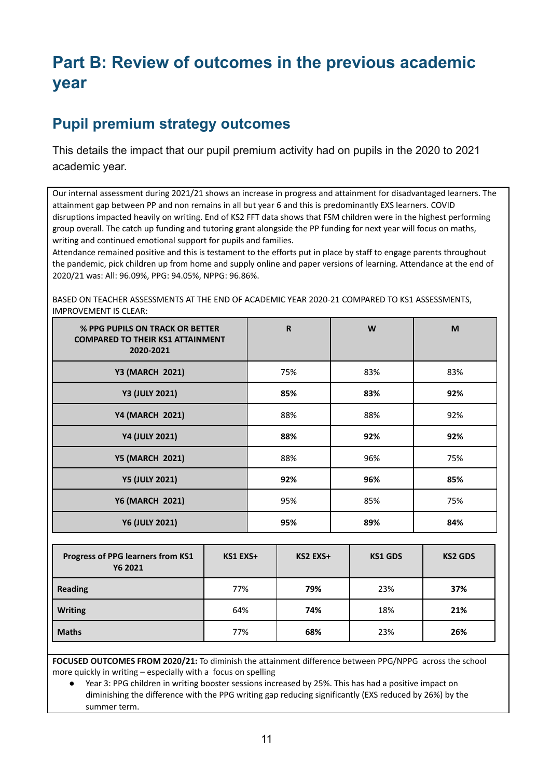# **Part B: Review of outcomes in the previous academic year**

### **Pupil premium strategy outcomes**

This details the impact that our pupil premium activity had on pupils in the 2020 to 2021 academic year.

Our internal assessment during 2021/21 shows an increase in progress and attainment for disadvantaged learners. The attainment gap between PP and non remains in all but year 6 and this is predominantly EXS learners. COVID disruptions impacted heavily on writing. End of KS2 FFT data shows that FSM children were in the highest performing group overall. The catch up funding and tutoring grant alongside the PP funding for next year will focus on maths, writing and continued emotional support for pupils and families.

Attendance remained positive and this is testament to the efforts put in place by staff to engage parents throughout the pandemic, pick children up from home and supply online and paper versions of learning. Attendance at the end of 2020/21 was: All: 96.09%, PPG: 94.05%, NPPG: 96.86%.

BASED ON TEACHER ASSESSMENTS AT THE END OF ACADEMIC YEAR 2020-21 COMPARED TO KS1 ASSESSMENTS, IMPROVEMENT IS CLEAR:

| % PPG PUPILS ON TRACK OR BETTER<br><b>COMPARED TO THEIR KS1 ATTAINMENT</b><br>2020-2021 | $\mathbf R$ | W   | M   |
|-----------------------------------------------------------------------------------------|-------------|-----|-----|
| <b>Y3 (MARCH 2021)</b>                                                                  | 75%         | 83% | 83% |
| <b>Y3 (JULY 2021)</b>                                                                   | 85%         | 83% | 92% |
| <b>Y4 (MARCH 2021)</b>                                                                  | 88%         | 88% | 92% |
| <b>Y4 (JULY 2021)</b>                                                                   | 88%         | 92% | 92% |
| <b>Y5 (MARCH 2021)</b>                                                                  | 88%         | 96% | 75% |
| <b>Y5 (JULY 2021)</b>                                                                   | 92%         | 96% | 85% |
| <b>Y6 (MARCH 2021)</b>                                                                  | 95%         | 85% | 75% |
| <b>Y6 (JULY 2021)</b>                                                                   | 95%         | 89% | 84% |

| Progress of PPG learners from KS1<br>Y6 2021 | KS1 EXS+ | KS2 EXS+ | <b>KS1 GDS</b> | <b>KS2 GDS</b> |
|----------------------------------------------|----------|----------|----------------|----------------|
| <b>Reading</b>                               | 77%      | 79%      | 23%            | 37%            |
| <b>Writing</b>                               | 64%      | 74%      | 18%            | 21%            |
| <b>Maths</b>                                 | 77%      | 68%      | 23%            | 26%            |

**FOCUSED OUTCOMES FROM 2020/21:** To diminish the attainment difference between PPG/NPPG across the school more quickly in writing – especially with a focus on spelling

Year 3: PPG children in writing booster sessions increased by 25%. This has had a positive impact on diminishing the difference with the PPG writing gap reducing significantly (EXS reduced by 26%) by the summer term.